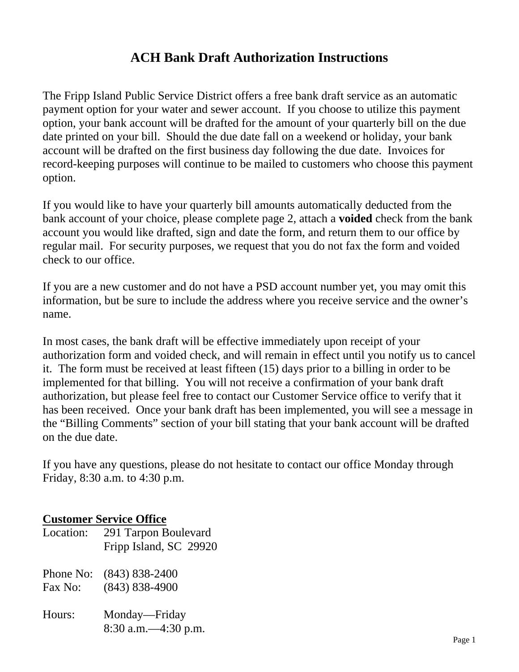## **ACH Bank Draft Authorization Instructions**

The Fripp Island Public Service District offers a free bank draft service as an automatic payment option for your water and sewer account. If you choose to utilize this payment option, your bank account will be drafted for the amount of your quarterly bill on the due date printed on your bill. Should the due date fall on a weekend or holiday, your bank account will be drafted on the first business day following the due date. Invoices for record-keeping purposes will continue to be mailed to customers who choose this payment option.

If you would like to have your quarterly bill amounts automatically deducted from the bank account of your choice, please complete page 2, attach a **voided** check from the bank account you would like drafted, sign and date the form, and return them to our office by regular mail. For security purposes, we request that you do not fax the form and voided check to our office.

If you are a new customer and do not have a PSD account number yet, you may omit this information, but be sure to include the address where you receive service and the owner's name.

In most cases, the bank draft will be effective immediately upon receipt of your authorization form and voided check, and will remain in effect until you notify us to cancel it. The form must be received at least fifteen (15) days prior to a billing in order to be implemented for that billing. You will not receive a confirmation of your bank draft authorization, but please feel free to contact our Customer Service office to verify that it has been received. Once your bank draft has been implemented, you will see a message in the "Billing Comments" section of your bill stating that your bank account will be drafted on the due date.

If you have any questions, please do not hesitate to contact our office Monday through Friday, 8:30 a.m. to 4:30 p.m.

## **Customer Service Office**

- Location: 291 Tarpon Boulevard Fripp Island, SC 29920
- Phone No: (843) 838-2400 Fax No: (843) 838-4900
- Hours: Monday—Friday 8:30 a.m.—4:30 p.m.